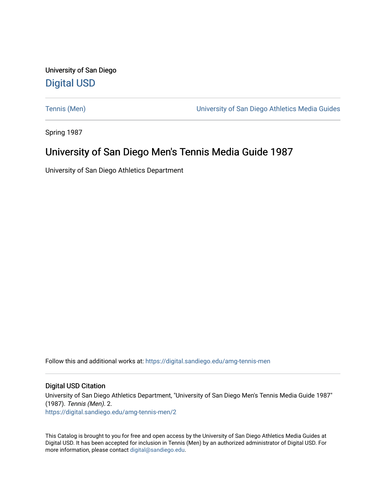University of San Diego [Digital USD](https://digital.sandiego.edu/)

[Tennis \(Men\)](https://digital.sandiego.edu/amg-tennis-men) [University of San Diego Athletics Media Guides](https://digital.sandiego.edu/amg) 

Spring 1987

# University of San Diego Men's Tennis Media Guide 1987

University of San Diego Athletics Department

Follow this and additional works at: [https://digital.sandiego.edu/amg-tennis-men](https://digital.sandiego.edu/amg-tennis-men?utm_source=digital.sandiego.edu%2Famg-tennis-men%2F2&utm_medium=PDF&utm_campaign=PDFCoverPages)

## Digital USD Citation

University of San Diego Athletics Department, "University of San Diego Men's Tennis Media Guide 1987" (1987). Tennis (Men). 2. [https://digital.sandiego.edu/amg-tennis-men/2](https://digital.sandiego.edu/amg-tennis-men/2?utm_source=digital.sandiego.edu%2Famg-tennis-men%2F2&utm_medium=PDF&utm_campaign=PDFCoverPages) 

This Catalog is brought to you for free and open access by the University of San Diego Athletics Media Guides at Digital USD. It has been accepted for inclusion in Tennis (Men) by an authorized administrator of Digital USD. For more information, please contact [digital@sandiego.edu.](mailto:digital@sandiego.edu)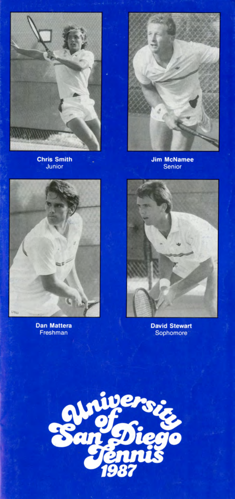

**Chris Smith** Junior



Jim McNamee<br>Senior



**Dan Mattera** Freshman



**David Stewart** Sophomore

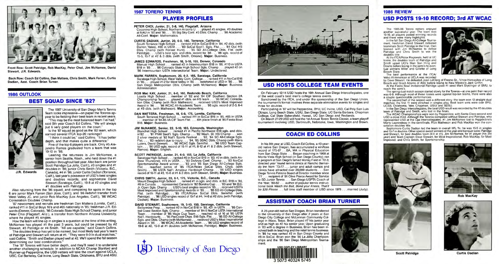

Front Row : Scott Patridge, Rob MacKay, Peter Choi, Jim McNamee, David Stewart, J.R. Edwards.

Back Row: Coach Ed Collins, Dan Mattera, Chris Smith, Mark Farren, Curtis Dadian, Asst. Coach Brian Turner.

## **1986 OUTLOOK**

## **BEST SQUAD SINCE '82?**



earned several ITCA top-20 rankings? "I think it could be," said Collins. "It has better

The 1987 University of San Diego Men's Tennis Team looks impressive-on paper the Toreros appear to be fielding their best team in recent years. "This may be the most balanced team I've had," said 9th year Coach Ed Collins. "We will always put 6 very good players on the court." Is the '87 squad as good as the '82 team , which

depth, and that makes quite a difference." Five of the top 6 players are back. Only #5 Alejandro Ramos graduated from a team that was 19-10 in '86.

Leading the returnees is Jim McNamee, <sup>a</sup> senior from Seattle, Wash., who held down the #1 position throughout last year. Also back are junior Scott Patridge (La Jolla, Calif.), #3 singles and #1 doubles in '86; junior Chris Smith (Victoria, B.C., **J.R. Edwards** Canada), #4 in '86; junior Curtis Dadian (Torrance,

How the team will line up in singles is a question at the time of this writing. McNamee has played #1 the past 3 years, but could be pressed by #2 Stewart, #3 Patridge or #4 Smith. "All are capable," said Coach Collins.

Calif.), last year's possessor of USD's best singles and doubles records; and sophomore David Stewart (Saratoga, Calif.), 19-8 at #2 singles and #1 doubles with Patridge.

The '87 Toreros will have better depth, and they'll need it to undertake another challenging schedule. In addition to NCAA Champ Stanford and Runner-up Pepperdine, the USO netters will take the court against UCLA, USC, Cal Berkeley, Cal Irvine, Long Beach State, Oklahoma, BYU and ASU.

Also returning from the '86 squad, and competing for spots in the top 6 are junior Mark Farren (San Jose, Calif.), and '86 redshirt transfer from West Valley JC, and junior Rob MacKay (Los Angeles, Calif.), '86 WCAC Consolation Doubles Champ.

South Torrance High School ... ranked #13 in SoCal B18 in '84, #2 dbls. (with Darren Yates), #86 in USTA ... '83 SoCal Sect'I. Sgls. Fist. ... '84 Ojai HS Dbls. Champ (with Forrest Hunt) ... '85 SD All-College Dbls. Flst. (with Patridge) . . . USD's best sgls. and dbls. record for '86 . . . '86 sgls. record of<br>15-5, 15-7 at #2 & 3 dbls. (with Smith, Omono). **Major:** Business.

'87 newcomers and recruits are freshman Dan Mattera (Lomita, Calif.), ranked #11 in SoCal Boys 16's and #65 nationally in '85; freshman J.R. Edwards (Denver, Colorado), '86 Colorado State High School Champ, and junior Peter Choi (Flagstaff, Ariz.), a transfer from Northern Arizona University, where he played #5 singles.

Loyola High School ... member of '82 and '84 CIF Southern Section 2A Championship Team ... played #1 dbls. on HS team . .. '86 WCAC Consolation Dibs. Champ (with Rick Matheson) ... received USD's Most Improved Award in '86 ... '86 WCAC All-Academic Team ... '86 sgls. record of 2-3, 6-4 at #3 dbls. (with Matheson). **Major:** Accounting.

The doubles lineup has yet to be named, but most likely last year's team of Patridge and Stewart will return at #1. " They were 9-0 in dual matches," said Collins. "Smith and Dadian played well at #2. We'll spend the fall season determining our best combinations."

## **1987 TORERO TENNIS**

## **PLAYER PROFILES**

### **PETER CHOI, Junior, 21, 5-8, 140, Flagstaff, Arizona**

Coconino High School , Northern Arizona U ... played #5 singles, #3 doubles at NAU in '85 and '86 . . '85 Big Sky Cont. #3 Obis. Champ ... '86 Academic All-Cont. **Major:** Mathematics.

#### **CURTIS DADIAN, Junior, 20, 6-0, 140, Torrance, California**

#### **JAMES EDWARDS, Freshman, 18, 5-10, 155, Denver, Colorado**  Manual High School ... ranked #3 in lntermountain B18 in '86, #110 in USTA B18 in '85 ... '86 Colorado State High School Sgls. Champ ... played #2 on

'86 Intermountain USTA Intersectional Team. Major: Undeclared.

### **MARK FARREN , Sophomore, 20, 6-2, 165, Saratoga, California**

Participating in '87 will be Pepperdine, BYU, UC Irvine, USD, Cal Poly San Luis Obispo, Long Beach State, USIU, San Diego State, UC Santa Barbara, Chapman College, Cal State Bakersfield, Hawaii, UC San Diego and Redlands.

Saratoga High School, West Valley Com . College ... ranked #11 in NorCal B18 in '85 ... played #1-2 for West Valley in '85 ... redshirted at USO in '86 ... '86 San Diego Metropolitan Obis. Champ (with McNamee). **Major:** Business Administration

#### **ROB Mac KAY, Junior, 21 , 6-0, 160, Redondo Beach, California**

#### **DAN MATTERA, Freshman, 18, 6-0, 175, Lomita, California**

South Torrance High School ... ranked #11 in SoCal B16 in '85, #65 in USTA ... member of '84-85 4A CIF Team Fist. ... 6th place finish at '85 Fiesta Bowl B18. **Major:** Business.

The 1985-86 Torero netters enjoyed<br>another successful year. The team was<br>19-10, all players posted winning records and there were many highlights.

In the fall San Diego All-College Tourna ment, freshman David Stewart defeated teammate Scott Patridge in the final, then teamed with Jim McNamee to defeat Patridge and Chris Smith to win the<br>doubles title.

#### **JIM McNAMEE, Senior, 22,** 5-10, **165, Edmonds, Washington**

At the ITCA/Rolex Regionals, held at UC Irvine, the doubles team of Patridge and Smith upset UCl's Man Son Hing and Downs before losing in the semi 's to eventual winners Miller and Gillette of Long Beach State.

Blanchet High School . .. ranked #1 in Pacific Northwest B18 sgls. and dbls. in'82 . .. '81 PNW Sect'l. Sgls. Champ .. . '82 Wash. St. HS Champ .. . won 2 silver medals at '82 Nat'l. Sports Festival ... '82, '84 SD All-College Sgls. Fist. ... '83 redshirt due to injury . .. '84, '85 SDAC Obis. Champ (with Maris Luters, David Stewart) . . . '86 WCAC Sgls. Semiflst. . . . '86 USD Team Captain ... '86 USO sgls. record of 15-11 at #1, 8-12 at **#1** & 2 dbls. (with Stewart, Ramos). **Major:** English .

The spring dual match season started slowly for the Toreros- at one point their record was 6-9. Although most of these losses were against top-ten teams, there were also a couple questionable performances.

The second half of the season was a different story: the team won 13 straight dual matches; the first 11 were clinched in singles play. Best team wins were over BYU, UCSB, Oklahoma, Yale, Chapman, USIU and SDSU.

#### **SCOTT PATRIDGE, Junior, 21 , 6-0, 155, La Jolla, California**

In the San Diego lntercollegiates, the best USD result was recorded by the #2 doubles team of Patridge and Smith, who lost in the finals.<br>The WCAC Championships were won by Pepperdine, with Santa Clara second and

Saratoga High School ... ranked #6 in NorCal B18 in '83, #2 in dbls. (with Andrew Thurstone), #73 in USTA ... '83 DeAnza Cont. Champ ... '83 NorCal Sportsmanship Award winner . . . '83 and '85 San Diego All-College Sgls. Fist .... reached semis of '85 ITCA/Rolex SoCal Obis. Chps. (with Smith) ... '86 USTA Nat'I. Amateur Hardcourt Champ . .. '86 USO singles record of 16-11 at #3, 15-8 at #1 & 2 dbls. (with Stewart, Smith). **Major:** Business.

Sophomore Curtis Dadian led the team in overall W/L %; he was 15-5 in singles<br>and 15-7 in doubles. Other special award winners at the year-end banquet were: Patridge<br>and Stewart. for best doubles team (9-0 at #1), Jim McNa year) and Team Captain; Dave Stewart, for Most Inspirational; Rob MacKay, for Mos<sup>t</sup> Improved; and Chris Smith, for Sportsmanship.

#### **CHRIS SMITH, Junior, 20, 6-1 , 175, Victoria, B.C., Canada**

Mount Douglas High School ... ranked #1 in sgls. and dbls. in B.C. B18 in '84, #6 in Canada . . . represented Canada in '82 Borotra Cup ... '83 and '84 B.C. Jr. Open Sgls. Champ .. . USD's best singles record in '85 . .. received USD's Most Improved and Sportsmanship Awards in '85 . . . '85 SD All-College Dbls.<br>Fist. (with Patridge) . . . '85 ITCA/Rolex SoCal Dbls. Semiflst. (with<br>Patridge) . . . '86 USD singles record of 15-7 at #4, 14-8 Dadian). **Major:** Business.

#### **DAVID STEWART, Sophomore, 19, 5-10, 150, Saratoga, California**

Bellarmine Prep ... ranked #2 in NorCal B18 in '85, #21 in USTA ... '85 Central Coast Section Sgls. Champ ... member of '84-5 NorCal USTA International Team . . . member of '85 Maze Cup Team . . . reached rd. of 16 at '85 USTA Nat'I. Hardcourts . . . '85 PacCoast Chps. B18 Sgls. Fist. .. . '85 SD All-College Sgls. and Obis. Champ (with McNamee) ... received USD's Most Inspirational Award in '86 ... '86 WCAC All-Academic Team ... '86 USO singles record of 19-8 at #2, 15-9 at #1 doubles (with McNamee, Patridge). **Major:** Business.





## **USD HOSTS COLLEGE TEAM EVENTS**

On February 12-14 USO hosts the 16th Annual San Diego lntercollegiates, one of the west coast's best men's college tennis events.

Sanctioned by the ITCA, and under the sponsorship of the San Diego Union, the tournament's format involves three separate elimination events for singles and three for doubles.

On March 27-29 USO will host the 1st Annual Torero Tennis Classic, a team playoff tournament involving USO. Dartmouth, Nebraska, Iowa, Washington and Brown .

## **COACH ED COLLINS**

In his 9th year at USO, Coach Ed Collins, a 40-yearold native San Diegan, has accumulated a win/loss record of 175-87 . .BA. **MA** in Physical Education from San Diego State ... Began coaching in 1968 at Monte Vista High School (in San Diego County); ran jr. program at San Diego's famed Morley Field in '72-3; directed year 'round tennis clinics at Rancho Bernardo Inn from '73-77 . .. junior and adult camps and clinics have attracted over 20,000 students . .. San Diego Tennis Patrons Board of Director member since '77 . . . recipient of '81 Olive Pierce Award for Service to SD Junior Tennis . .. San Diego USPTA Coach of the Year, '80-82 ... author of popular tennis instructional book Watch the Ball, Bend your Knees, That'll



be \$20 Please ... full time staff member of USO since 1978 ... married (Judy).

## **ASSISTANT COACH BRIAN TURNER**

A 26-year-old native San Diegan, Brian transferred to the University of San Diego after 2 years at San Diego City College and McLennan Community College in Waco, Texas. Brian played #7 his junior year and as high as #2 his senior year. Upon graduating in '83 with a degree in Business, Brian has been involved both in teaching and the retail tennis business. In '85 he was ranked #2 in San Diego County and #8 in SoCal. Brian won the '86 La Jolla Championships and the '86 San Diego Metropolitan Tournament.







## **1986 REVIEW**

## **USD POSTS 19-10 RECORD; 3rd AT WCAC**

The best performance at the ITCA/ Volvo All-American at UCLA was recorded



by Dave Stewart. He defeated Jean LeClerg of Fresno St. , Vince Horcasitos of Long Beach and Grant Adams of ASU before losing to New Mexico's Jack Griffin. At the Fiesta Bowl Invitational Patridge upset #1 seed Mark Styslinger of SMU, to reach the semi's.

USD a close third. Although the Toreros competed without Stewart and Patridge, wh<sup>o</sup> <sup>r</sup>epresented USD at the Ojai lntercollegiates, #1 Jim McNamee lost to Pepperdine's Marty Laurendeau in the semifinals. Rick Matheson and Rob MacKay won the con-



**Rob MacKay** 





**Scott Patridge Curtis Dadian**